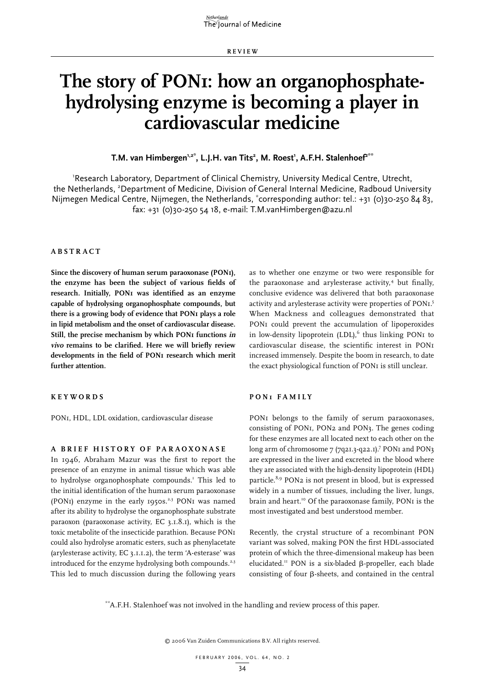**Re v i e w**

# **The story of PON1: how an organophosphatehydrolysing enzyme is becoming a player in cardiovascular medicine**

**T.M. van Himbergen'<sup>,2\*</sup>, L.J.H. van Tits<sup>2</sup>, M. Roest', A.F.H. Stalenhoef<sup>2\*\*</sup>** 

'Research Laboratory, Department of Clinical Chemistry, University Medical Centre, Utrecht, the Netherlands, <sup>2</sup>Department of Medicine, Division of General Internal Medicine, Radboud University Nijmegen Medical Centre, Nijmegen, the Netherlands, \* corresponding author: tel.: +31 (0)30-250 84 83, fax: +31 (0)30-250 54 18, e-mail: T.M.vanHimbergen@azu.nl

#### **A b s t r act**

**Since the discovery of human serum paraoxonase (PON1), the enzyme has been the subject of various fields of research. Initially, PON1 was identified as an enzyme capable of hydrolysing organophosphate compounds, but there is a growing body of evidence that PON1 plays a role in lipid metabolism and the onset of cardiovascular disease. Still, the precise mechanism by which PON1 functions in vivo remains to be clarified. Here we will briefly review developments in the field of PON1 research which merit further attention.**

**K e y w o r d s**

PON1, HDL, LDL oxidation, cardiovascular disease

#### **A b r i e f h i s t o r y o f pa r a o x o na s e**

In 1946, Abraham Mazur was the first to report the presence of an enzyme in animal tissue which was able to hydrolyse organophosphate compounds.<sup>1</sup> This led to the initial identification of the human serum paraoxonase (PONI) enzyme in the early  $1950s^{2,3}$  PONI was named after its ability to hydrolyse the organophosphate substrate paraoxon (paraoxonase activity, EC 3.1.8.1), which is the toxic metabolite of the insecticide parathion. Because PON1 could also hydrolyse aromatic esters, such as phenylacetate (arylesterase activity, EC 3.1.1.2), the term 'A-esterase' was introduced for the enzyme hydrolysing both compounds.<sup>2,3</sup> This led to much discussion during the following years

as to whether one enzyme or two were responsible for the paraoxonase and arylesterase activity,<sup>4</sup> but finally, conclusive evidence was delivered that both paraoxonase activity and arylesterase activity were properties of PON<sub>1.</sub>5 When Mackness and colleagues demonstrated that PON<sub>I</sub> could prevent the accumulation of lipoperoxides in low-density lipoprotein  $(LDL)$ , thus linking PON1 to cardiovascular disease, the scientific interest in PON1 increased immensely. Despite the boom in research, to date the exact physiological function of PONI is still unclear.

#### **PO N 1 fam i l y**

PON<sub>I</sub> belongs to the family of serum paraoxonases, consisting of PON1, PON2 and PON3. The genes coding for these enzymes are all located next to each other on the long arm of chromosome 7 (7q21.3-q22.1).<sup>7</sup> PON1 and PON3 are expressed in the liver and excreted in the blood where they are associated with the high-density lipoprotein (HDL) particle.8,9 PON2 is not present in blood, but is expressed widely in a number of tissues, including the liver, lungs, brain and heart.<sup>10</sup> Of the paraoxonase family, PON1 is the most investigated and best understood member.

Recently, the crystal structure of a recombinant PON variant was solved, making PON the first HDL-associated protein of which the three-dimensional makeup has been elucidated.<sup>11</sup> PON is a six-bladed  $\beta$ -propeller, each blade consisting of four  $\beta$ -sheets, and contained in the central

\*\*A.F.H. Stalenhoef was not involved in the handling and review process of this paper.

© 2006 Van Zuiden Communications B.V. All rights reserved.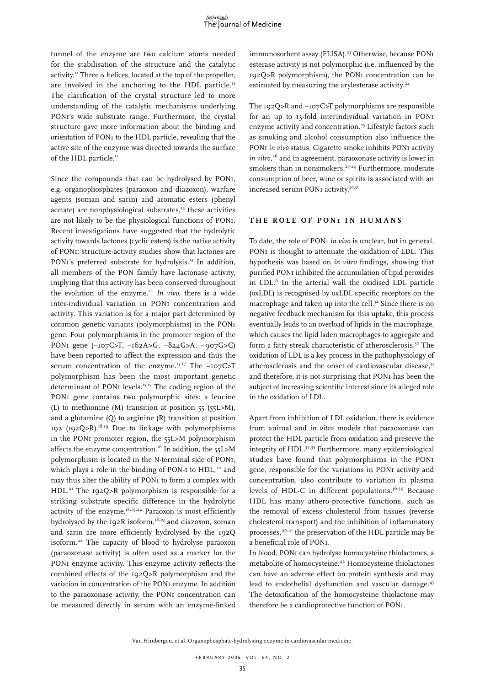tunnel of the enzyme are two calcium atoms needed for the stabilisation of the structure and the catalytic activity.<sup>11</sup> Three  $\alpha$  helices, located at the top of the propeller, are involved in the anchoring to the HDL particle.<sup>11</sup> The clarification of the crystal structure led to more understanding of the catalytic mechanisms underlying PON1's wide substrate range. Furthermore, the crystal structure gave more information about the binding and orientation of PON1 to the HDL particle, revealing that the active site of the enzyme was directed towards the surface of the HDL particle.<sup>11</sup>

Since the compounds that can be hydrolysed by PON1, e.g. organophosphates (paraoxon and diazoxon), warfare agents (soman and sarin) and aromatic esters (phenyl acetate) are nonphysiological substrates, $12$  these activities are not likely to be the physiological functions of PON1. Recent investigations have suggested that the hydrolytic activity towards lactones (cyclic esters) is the native activity of PON1: structure-activity studies show that lactones are PON1's preferred substrate for hydrolysis.<sup>13</sup> In addition, all members of the PON family have lactonase activity, implying that this activity has been conserved throughout the evolution of the enzyme.14 *In vivo*, there is a wide inter-individual variation in PON1 concentration and activity. This variation is for a major part determined by common genetic variants (polymorphisms) in the PON1 gene. Four polymorphisms in the promoter region of the PON1 gene (–107C>T, –162A>G, –824G>A, –907G>C) have been reported to affect the expression and thus the serum concentration of the enzyme.<sup>15-17</sup> The -107C>T polymorphism has been the most important genetic determinant of PON<sub>I</sub> levels.<sup>15-17</sup> The coding region of the PON1 gene contains two polymorphic sites: a leucine (L) to methionine (M) transition at position 55 (55L>M), and a glutamine (Q) to arginine (R) transition at position 192 (192Q>R).<sup>18,19</sup> Due to linkage with polymorphisms in the PON1 promoter region, the 55L>M polymorphism affects the enzyme concentration.<sup>16</sup> In addition, the 55L>M polymorphism is located in the N-terminal side of PON1, which plays a role in the binding of PON-I to HDL,<sup>20</sup> and may thus alter the ability of PON1 to form a complex with HDL.<sup>21</sup> The 192Q>R polymorphism is responsible for a striking substrate specific difference in the hydrolytic activity of the enzyme. $18,19,22$  Paraoxon is most efficiently hydrolysed by the 192R isoform, $18,19$  and diazoxon, soman and sarin are more efficiently hydrolysed by the 192Q isoform.22 The capacity of blood to hydrolyse paraoxon (paraoxonase activity) is often used as a marker for the PON1 enzyme activity. This enzyme activity reflects the combined effects of the 192Q>R polymorphism and the variation in concentration of the PON1 enzyme. In addition to the paraoxonase activity, the PON1 concentration can be measured directly in serum with an enzyme-linked

immunosorbent assay (ELISA).<sup>23</sup> Otherwise, because PON1 esterase activity is not polymorphic (i.e. influenced by the 192Q>R polymorphism), the PON1 concentration can be estimated by measuring the arylesterase activity.<sup>24</sup>

The 192Q>R and –107C>T polymorphisms are responsible for an up to 13-fold interindividual variation in PON1 enzyme activity and concentration.<sup>25</sup> Lifestyle factors such as smoking and alcohol consumption also influence the PON<sub>I</sub> in vivo status. Cigarette smoke inhibits PON<sub>I</sub> activity *in vitro,*26 and in agreement, paraoxonase activity is lower in smokers than in nonsmokers.<sup>27-29</sup> Furthermore, moderate consumption of beer, wine or spirits is associated with an increased serum PON1 activity.<sup>30,31</sup>

### **T h e r o l e o f PO N 1 i n h u man s**

To date, the role of PON1 *in vivo* is unclear, but in general, PON<sub>I</sub> is thought to attenuate the oxidation of LDL. This hypothesis was based on *in vitro* findings, showing that purified PON1 inhibited the accumulation of lipid peroxides in LDL.<sup>6</sup> In the arterial wall the oxidised LDL particle (oxLDL) is recognised by oxLDL specific receptors on the macrophage and taken up into the cell. $32$  Since there is no negative feedback mechanism for this uptake, this process eventually leads to an overload of lipids in the macrophage, which causes the lipid laden macrophages to aggregate and form a fatty streak characteristic of atherosclerosis.<sup>32</sup> The oxidation of LDL is a key process in the pathophysiology of atherosclerosis and the onset of cardiovascular disease,<sup>33</sup> and therefore, it is not surprising that PON1 has been the subject of increasing scientific interest since its alleged role in the oxidation of LDL.

Apart from inhibition of LDL oxidation, there is evidence from animal and *in vitro* models that paraoxonase can protect the HDL particle from oxidation and preserve the integrity of HDL.34,35 Furthermore, many epidemiological studies have found that polymorphisms in the PON1 gene, responsible for the variations in PON1 activity and concentration, also contribute to variation in plasma levels of HDL-C in different populations.<sup>36-39</sup> Because HDL has many athero-protective functions, such as the removal of excess cholesterol from tissues (reverse cholesterol transport) and the inhibition of inflammatory processes,40,41 the preservation of the HDL particle may be a beneficial role of PON1.

In blood, PON1 can hydrolyse homocysteine thiolactones, a metabolite of homocysteine.42 Homocysteine thiolactones can have an adverse effect on protein synthesis and may lead to endothelial dysfunction and vascular damage.43 The detoxification of the homocysteine thiolactone may therefore be a cardioprotective function of PON1.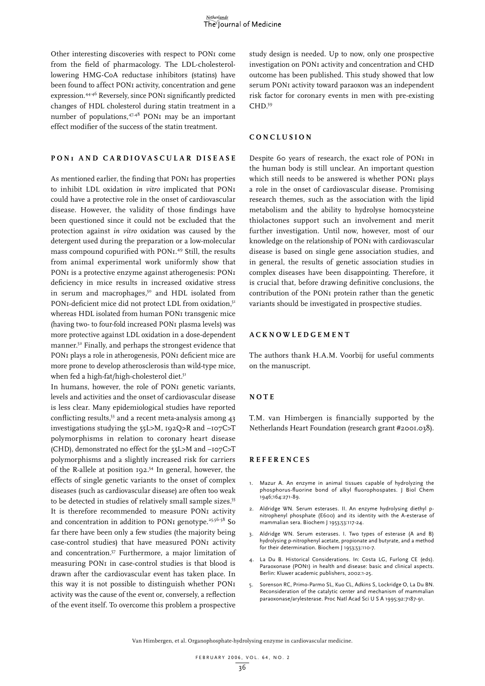Other interesting discoveries with respect to PON1 come from the field of pharmacology. The LDL-cholesterollowering HMG-CoA reductase inhibitors (statins) have been found to affect PON1 activity, concentration and gene expression.44-46 Reversely, since PON1 significantly predicted changes of HDL cholesterol during statin treatment in a number of populations,47,48 PON1 may be an important effect modifier of the success of the statin treatment.

#### **PO N 1 an d ca r d i o va s c u l a r d i s ea s e**

As mentioned earlier, the finding that PON1 has properties to inhibit LDL oxidation *in vitro* implicated that PON1 could have a protective role in the onset of cardiovascular disease. However, the validity of those findings have been questioned since it could not be excluded that the protection against *in vitro* oxidation was caused by the detergent used during the preparation or a low-molecular mass compound copurified with PON1.49 Still, the results from animal experimental work uniformly show that PON<sub>I</sub> is a protective enzyme against atherogenesis: PON<sub>I</sub> deficiency in mice results in increased oxidative stress in serum and macrophages,<sup>50</sup> and HDL isolated from PON1-deficient mice did not protect LDL from oxidation,<sup>51</sup> whereas HDL isolated from human PON1 transgenic mice (having two- to four-fold increased PON1 plasma levels) was more protective against LDL oxidation in a dose-dependent manner.52 Finally, and perhaps the strongest evidence that PON1 plays a role in atherogenesis, PON1 deficient mice are more prone to develop atherosclerosis than wild-type mice, when fed a high-fat/high-cholesterol diet.<sup>51</sup>

In humans, however, the role of PON1 genetic variants, levels and activities and the onset of cardiovascular disease is less clear. Many epidemiological studies have reported conflicting results,<sup>53</sup> and a recent meta-analysis among 43 investigations studying the 55L>M, 192Q>R and –107C>T polymorphisms in relation to coronary heart disease (CHD), demonstrated no effect for the 55L>M and –107C>T polymorphisms and a slightly increased risk for carriers of the R-allele at position 192.54 In general, however, the effects of single genetic variants to the onset of complex diseases (such as cardiovascular disease) are often too weak to be detected in studies of relatively small sample sizes.<sup>55</sup> It is therefore recommended to measure PON1 activity and concentration in addition to PON1 genotype.<sup>25,56-58</sup> So far there have been only a few studies (the majority being case-control studies) that have measured PON1 activity and concentration.57 Furthermore, a major limitation of measuring PON1 in case-control studies is that blood is drawn after the cardiovascular event has taken place. In this way it is not possible to distinguish whether PON1 activity was the cause of the event or, conversely, a reflection of the event itself. To overcome this problem a prospective

study design is needed. Up to now, only one prospective investigation on PON1 activity and concentration and CHD outcome has been published. This study showed that low serum PON1 activity toward paraoxon was an independent risk factor for coronary events in men with pre-existing CHD.59

#### **C o nc l u s i o n**

Despite 60 years of research, the exact role of PON1 in the human body is still unclear. An important question which still needs to be answered is whether PON1 plays a role in the onset of cardiovascular disease. Promising research themes, such as the association with the lipid metabolism and the ability to hydrolyse homocysteine thiolactones support such an involvement and merit further investigation. Until now, however, most of our knowledge on the relationship of PON1 with cardiovascular disease is based on single gene association studies, and in general, the results of genetic association studies in complex diseases have been disappointing. Therefore, it is crucial that, before drawing definitive conclusions, the contribution of the PON1 protein rather than the genetic variants should be investigated in prospective studies.

#### **A ckn o w l e d g ement**

The authors thank H.A.M. Voorbij for useful comments on the manuscript.

#### **n o te**

T.M. van Himbergen is financially supported by the Netherlands Heart Foundation (research grant #2001.038).

#### **Re f e r ence s**

- 1. Mazur A. An enzyme in animal tissues capable of hydrolyzing the phosphorus-fluorine bond of alkyl fluorophospates. J Biol Chem 1946;164:271-89.
- 2. Aldridge WN. Serum esterases. II. An enzyme hydrolysing diethyl pnitrophenyl phosphate (E600) and its identity with the A-esterase of mammalian sera. Biochem J 1953;53:117-24.
- 3. Aldridge WN. Serum esterases. I. Two types of esterase (A and B) hydrolysing p-nitrophenyl acetate, propionate and butyrate, and a method for their determination. Biochem J 1953;53:110-7.
- 4. La Du B. Historical Considerations. In: Costa LG, Furlong CE (eds). Paraoxonase (PON1) in health and disease: basic and clinical aspects. Berlin: Kluwer academic publishers, 2002:1-25.
- 5. Sorenson RC, Primo-Parmo SL, Kuo CL, Adkins S, Lockridge O, La Du BN. Reconsideration of the catalytic center and mechanism of mammalian paraoxonase/arylesterase. Proc Natl Acad Sci U S A 1995;92:7187-91.

Van Himbergen, et al. Organophosphate-hydrolysing enzyme in cardiovascular medicine.

10 36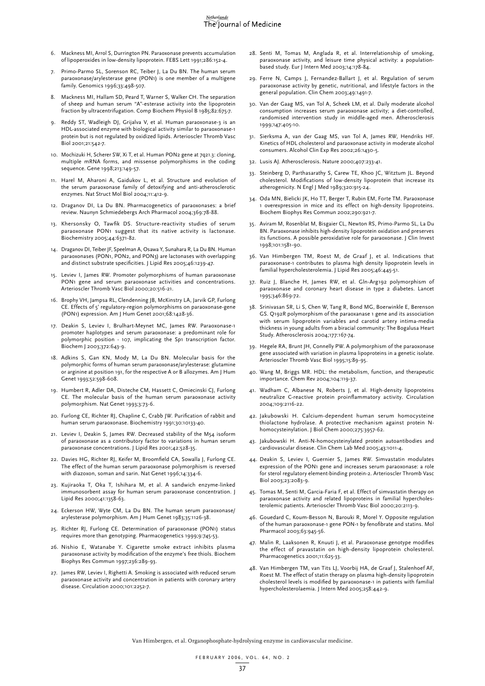#### Netherlands The Journal of Medicine

- 6. Mackness MI, Arrol S, Durrington PN. Paraoxonase prevents accumulation of lipoperoxides in low-density lipoprotein. FEBS Lett 1991;286:152-4.
- 7. Primo-Parmo SL, Sorenson RC, Teiber J, La Du BN. The human serum paraoxonase/arylesterase gene (PON1) is one member of a multigene family. Genomics 1996;33:498-507.
- 8. Mackness MI, Hallam SD, Peard T, Warner S, Walker CH. The separation of sheep and human serum "A"-esterase activity into the lipoprotein fraction by ultracentrifugation. Comp Biochem Physiol B 1985;82:675-7.
- Reddy ST, Wadleigh DJ, Grijalva V, et al. Human paraoxonase-3 is an HDL-associated enzyme with biological activity similar to paraoxonase-1 protein but is not regulated by oxidized lipids. Arterioscler Thromb Vasc Biol 2001;21:542-7.
- 10. Mochizuki H, Scherer SW, Xi T, et al. Human PON2 gene at 7q21.3: cloning, multiple mRNA forms, and missense polymorphisms in the coding sequence. Gene 1998;213:149-57.
- 11. Harel M, Aharoni A, Gaidukov L, et al. Structure and evolution of the serum paraoxonase family of detoxifying and anti-atherosclerotic enzymes. Nat Struct Mol Biol 2004;11:412-9.
- 12. Draganov DI, La Du BN. Pharmacogenetics of paraoxonases: a brief review. Naunyn Schmiedebergs Arch Pharmacol 2004;369:78-88.
- 13. Khersonsky O, Tawfik DS. Structure-reactivity studies of serum paraoxonase PON1 suggest that its native activity is lactonase. Biochemistry 2005;44:6371-82.
- 14. Draganov DI, Teiber JF, Speelman A, Osawa Y, Sunahara R, La Du BN. Human paraoxonases (PON1, PON2, and PON3) are lactonases with overlapping and distinct substrate specificities. J Lipid Res 2005;46:1239-47.
- 15. Leviev I, James RW. Promoter polymorphisms of human paraoxonase PON1 gene and serum paraoxonase activities and concentrations. Arterioscler Thromb Vasc Biol 2000;20:516-21.
- 16. Brophy VH, Jampsa RL, Clendenning JB, McKinstry LA, Jarvik GP, Furlong CE. Effects of 5' regulatory-region polymorphisms on paraoxonase-gene (PON1) expression. Am J Hum Genet 2001;68:1428-36.
- 17. Deakin S, Leviev I, Brulhart-Meynet MC, James RW. Paraoxonase-1 promoter haplotypes and serum paraoxonase: a predominant role for polymorphic position - 107, implicating the Sp1 transcription factor. Biochem J 2003;372:643-9.
- 18. Adkins S, Gan KN, Mody M, La Du BN. Molecular basis for the polymorphic forms of human serum paraoxonase/arylesterase: glutamine or arginine at position 191, for the respective A or B allozymes. Am J Hum Genet 1993;52:598-608.
- 19. Humbert R, Adler DA, Disteche CM, Hassett C, Omiecinski CJ, Furlong CE. The molecular basis of the human serum paraoxonase activity polymorphism. Nat Genet 1993;3:73-6.
- 20. Furlong CE, Richter RJ, Chapline C, Crabb JW. Purification of rabbit and human serum paraoxonase. Biochemistry 1991;30:10133-40.
- 21. Leviev I, Deakin S, James RW. Decreased stability of the M54 isoform of paraoxonase as a contributory factor to variations in human serum paraoxonase concentrations. J Lipid Res 2001;42:528-35.
- 22. Davies HG, Richter RJ, Keifer M, Broomfield CA, Sowalla J, Furlong CE. The effect of the human serum paraoxonase polymorphism is reversed with diazoxon, soman and sarin. Nat Genet 1996;14:334-6.
- 23. Kujiraoka T, Oka T, Ishihara M, et al. A sandwich enzyme-linked immunosorbent assay for human serum paraoxonase concentration. J Lipid Res 2000;41:1358-63.
- 24. Eckerson HW, Wyte CM, La Du BN. The human serum paraoxonase/ arylesterase polymorphism. Am J Hum Genet 1983;35:1126-38.
- 25. Richter RJ, Furlong CE. Determination of paraoxonase (PON1) status requires more than genotyping. Pharmacogenetics 1999;9:745-53.
- 26. Nishio E, Watanabe Y. Cigarette smoke extract inhibits plasma paraoxonase activity by modification of the enzyme's free thiols. Biochem Biophys Res Commun 1997;236:289-93.
- 27. James RW, Leviev I, Righetti A. Smoking is associated with reduced serum paraoxonase activity and concentration in patients with coronary artery disease. Circulation 2000;101:2252-7.
- 28. Senti M, Tomas M, Anglada R, et al. Interrelationship of smoking, paraoxonase activity, and leisure time physical activity: a populationbased study. Eur J Intern Med 2003;14:178-84.
- 29. Ferre N, Camps J, Fernandez-Ballart J, et al. Regulation of serum paraoxonase activity by genetic, nutritional, and lifestyle factors in the general population. Clin Chem 2003;49:1491-7.
- 30. Van der Gaag MS, van Tol A, Scheek LM, et al. Daily moderate alcohol consumption increases serum paraoxonase activity; a diet-controlled, randomised intervention study in middle-aged men. Atherosclerosis 1999;147:405-10.
- 31. Sierksma A, van der Gaag MS, van Tol A, James RW, Hendriks HF. Kinetics of HDL cholesterol and paraoxonase activity in moderate alcohol consumers. Alcohol Clin Exp Res 2002;26:1430-5.
- 32. Lusis AJ. Atherosclerosis. Nature 2000;407:233-41.
- 33. Steinberg D, Parthasarathy S, Carew TE, Khoo JC, Witztum JL. Beyond cholesterol. Modifications of low-density lipoprotein that increase its atherogenicity. N Engl J Med 1989;320:915-24.
- 34. Oda MN, Bielicki JK, Ho TT, Berger T, Rubin EM, Forte TM. Paraoxonase 1 overexpression in mice and its effect on high-density lipoproteins. Biochem Biophys Res Commun 2002;290:921-7.
- 35. Aviram M, Rosenblat M, Bisgaier CL, Newton RS, Primo-Parmo SL, La Du BN. Paraoxonase inhibits high-density lipoprotein oxidation and preserves its functions. A possible peroxidative role for paraoxonase. J Clin Invest 1998;101:1581-90.
- 36. Van Himbergen TM, Roest M, de Graaf J, et al. Indications that paraoxonase-1 contributes to plasma high density lipoprotein levels in familial hypercholesterolemia. J Lipid Res 2005;46:445-51.
- 37. Ruiz J, Blanche H, James RW, et al. Gln-Arg192 polymorphism of paraoxonase and coronary heart disease in type 2 diabetes. Lancet 1995;346:869-72.
- 38. Srinivasan SR, Li S, Chen W, Tang R, Bond MG, Boerwinkle E, Berenson GS. Q192R polymorphism of the paraoxanase 1 gene and its association with serum lipoprotein variables and carotid artery intima-media thickness in young adults from a biracial community: The Bogalusa Heart Study. Atherosclerosis 2004;177:167-74.
- 39. Hegele RA, Brunt JH, Connelly PW. A polymorphism of the paraoxonase gene associated with variation in plasma lipoproteins in a genetic isolate. Arterioscler Thromb Vasc Biol 1995;15:89-95.
- 40. Wang M, Briggs MR. HDL: the metabolism, function, and therapeutic importance. Chem Rev 2004;104:119-37.
- 41. Wadham C, Albanese N, Roberts J, et al. High-density lipoproteins neutralize C-reactive protein proinflammatory activity. Circulation 2004;109:2116-22.
- 42. Jakubowski H. Calcium-dependent human serum homocysteine thiolactone hydrolase. A protective mechanism against protein Nhomocysteinylation. J Biol Chem 2000;275:3957-62.
- 43. Jakubowski H. Anti-N-homocysteinylated protein autoantibodies and cardiovascular disease. Clin Chem Lab Med 2005;43:1011-4.
- 44. Deakin S, Leviev I, Guernier S, James RW. Simvastatin modulates expression of the PON1 gene and increases serum paraoxonase: a role for sterol regulatory element-binding protein-2. Arterioscler Thromb Vasc Biol 2003;23:2083-9.
- 45. Tomas M, Senti M, Garcia-Faria F, et al. Effect of simvastatin therapy on paraoxonase activity and related lipoproteins in familial hypercholesterolemic patients. Arterioscler Thromb Vasc Biol 2000;20:2113-9.
- 46. Gouedard C, Koum-Besson N, Barouki R, Morel Y. Opposite regulation of the human paraoxonase-1 gene PON-1 by fenofibrate and statins. Mol Pharmacol 2003;63:945-56.
- 47. Malin R, Laaksonen R, Knuuti J, et al. Paraoxonase genotype modifies the effect of pravastatin on high-density lipoprotein cholesterol. Pharmacogenetics 2001;11:625-33.
- 48. Van Himbergen TM, van Tits LJ, Voorbij HA, de Graaf J, Stalenhoef AF, Roest M. The effect of statin therapy on plasma high-density lipoprotein cholesterol levels is modified by paraoxonase-1 in patients with familial hypercholesterolaemia. J Intern Med 2005;258:442-9.

Van Himbergen, et al. Organophosphate-hydrolysing enzyme in cardiovascular medicine.